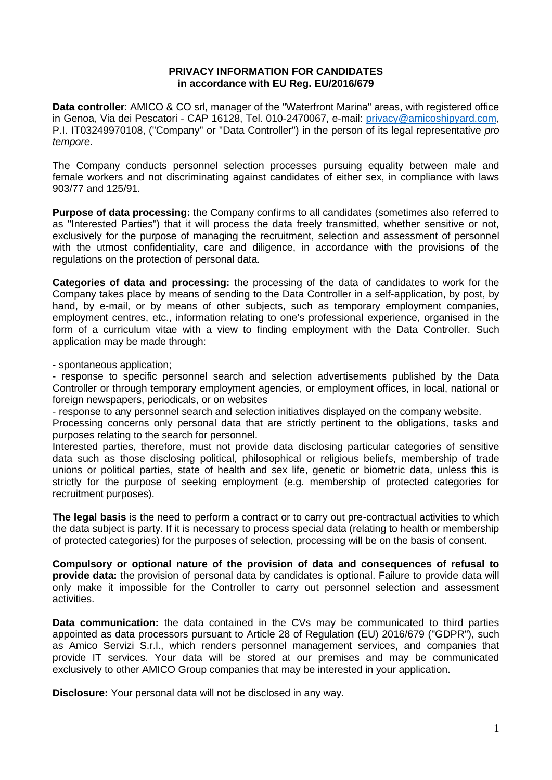## **PRIVACY INFORMATION FOR CANDIDATES in accordance with EU Reg. EU/2016/679**

**Data controller**: AMICO & CO srl, manager of the "Waterfront Marina" areas, with registered office in Genoa, Via dei Pescatori - CAP 16128, Tel. 010-2470067, e-mail: [privacy@amicoshipyard.com,](mailto:privacy@amicoshipyard.com) P.I. IT03249970108, ("Company" or "Data Controller") in the person of its legal representative *pro tempore*.

The Company conducts personnel selection processes pursuing equality between male and female workers and not discriminating against candidates of either sex, in compliance with laws 903/77 and 125/91.

**Purpose of data processing:** the Company confirms to all candidates (sometimes also referred to as "Interested Parties") that it will process the data freely transmitted, whether sensitive or not, exclusively for the purpose of managing the recruitment, selection and assessment of personnel with the utmost confidentiality, care and diligence, in accordance with the provisions of the regulations on the protection of personal data.

**Categories of data and processing:** the processing of the data of candidates to work for the Company takes place by means of sending to the Data Controller in a self-application, by post, by hand, by e-mail, or by means of other subjects, such as temporary employment companies, employment centres, etc., information relating to one's professional experience, organised in the form of a curriculum vitae with a view to finding employment with the Data Controller. Such application may be made through:

- spontaneous application;

- response to specific personnel search and selection advertisements published by the Data Controller or through temporary employment agencies, or employment offices, in local, national or foreign newspapers, periodicals, or on websites

- response to any personnel search and selection initiatives displayed on the company website.

Processing concerns only personal data that are strictly pertinent to the obligations, tasks and purposes relating to the search for personnel.

Interested parties, therefore, must not provide data disclosing particular categories of sensitive data such as those disclosing political, philosophical or religious beliefs, membership of trade unions or political parties, state of health and sex life, genetic or biometric data, unless this is strictly for the purpose of seeking employment (e.g. membership of protected categories for recruitment purposes).

**The legal basis** is the need to perform a contract or to carry out pre-contractual activities to which the data subject is party. If it is necessary to process special data (relating to health or membership of protected categories) for the purposes of selection, processing will be on the basis of consent.

**Compulsory or optional nature of the provision of data and consequences of refusal to provide data:** the provision of personal data by candidates is optional. Failure to provide data will only make it impossible for the Controller to carry out personnel selection and assessment activities.

**Data communication:** the data contained in the CVs may be communicated to third parties appointed as data processors pursuant to Article 28 of Regulation (EU) 2016/679 ("GDPR"), such as Amico Servizi S.r.l., which renders personnel management services, and companies that provide IT services. Your data will be stored at our premises and may be communicated exclusively to other AMICO Group companies that may be interested in your application.

**Disclosure:** Your personal data will not be disclosed in any way.